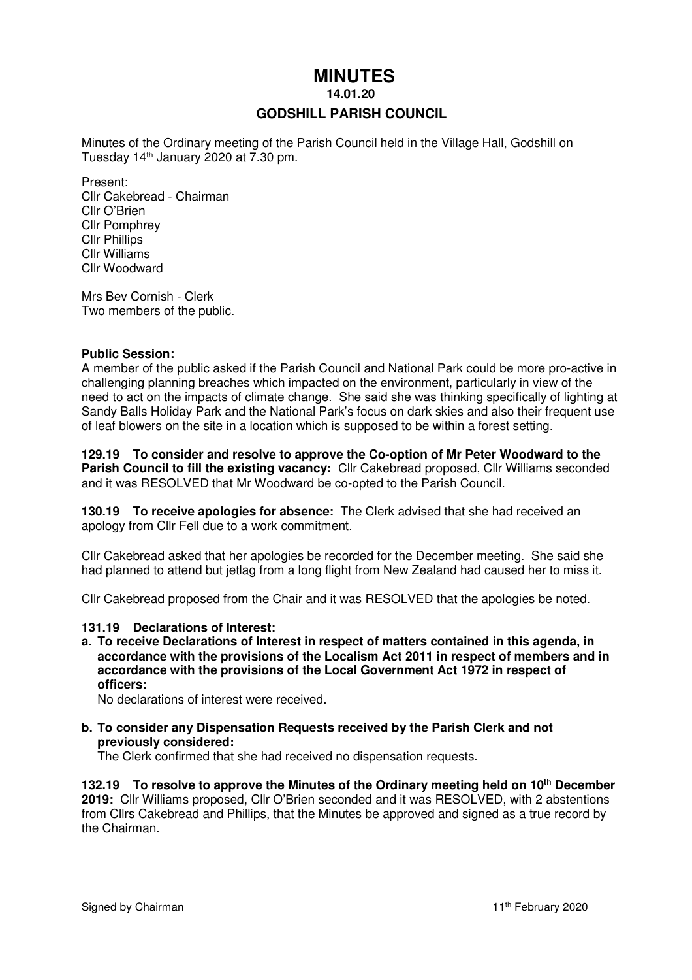# **MINUTES**

 **14.01.20** 

## **GODSHILL PARISH COUNCIL**

Minutes of the Ordinary meeting of the Parish Council held in the Village Hall, Godshill on Tuesday 14th January 2020 at 7.30 pm.

Present: Cllr Cakebread - Chairman Cllr O'Brien Cllr Pomphrey Cllr Phillips Cllr Williams Cllr Woodward

Mrs Bev Cornish - Clerk Two members of the public.

#### **Public Session:**

A member of the public asked if the Parish Council and National Park could be more pro-active in challenging planning breaches which impacted on the environment, particularly in view of the need to act on the impacts of climate change. She said she was thinking specifically of lighting at Sandy Balls Holiday Park and the National Park's focus on dark skies and also their frequent use of leaf blowers on the site in a location which is supposed to be within a forest setting.

#### **129.19 To consider and resolve to approve the Co-option of Mr Peter Woodward to the Parish Council to fill the existing vacancy:** Cllr Cakebread proposed, Cllr Williams seconded and it was RESOLVED that Mr Woodward be co-opted to the Parish Council.

**130.19 To receive apologies for absence:** The Clerk advised that she had received an apology from Cllr Fell due to a work commitment.

Cllr Cakebread asked that her apologies be recorded for the December meeting. She said she had planned to attend but jetlag from a long flight from New Zealand had caused her to miss it.

Cllr Cakebread proposed from the Chair and it was RESOLVED that the apologies be noted.

#### **131.19 Declarations of Interest:**

**a. To receive Declarations of Interest in respect of matters contained in this agenda, in accordance with the provisions of the Localism Act 2011 in respect of members and in accordance with the provisions of the Local Government Act 1972 in respect of officers:** 

No declarations of interest were received.

#### **b. To consider any Dispensation Requests received by the Parish Clerk and not previously considered:**

The Clerk confirmed that she had received no dispensation requests.

**132.19 To resolve to approve the Minutes of the Ordinary meeting held on 10th December 2019:** Cllr Williams proposed, Cllr O'Brien seconded and it was RESOLVED, with 2 abstentions from Cllrs Cakebread and Phillips, that the Minutes be approved and signed as a true record by the Chairman.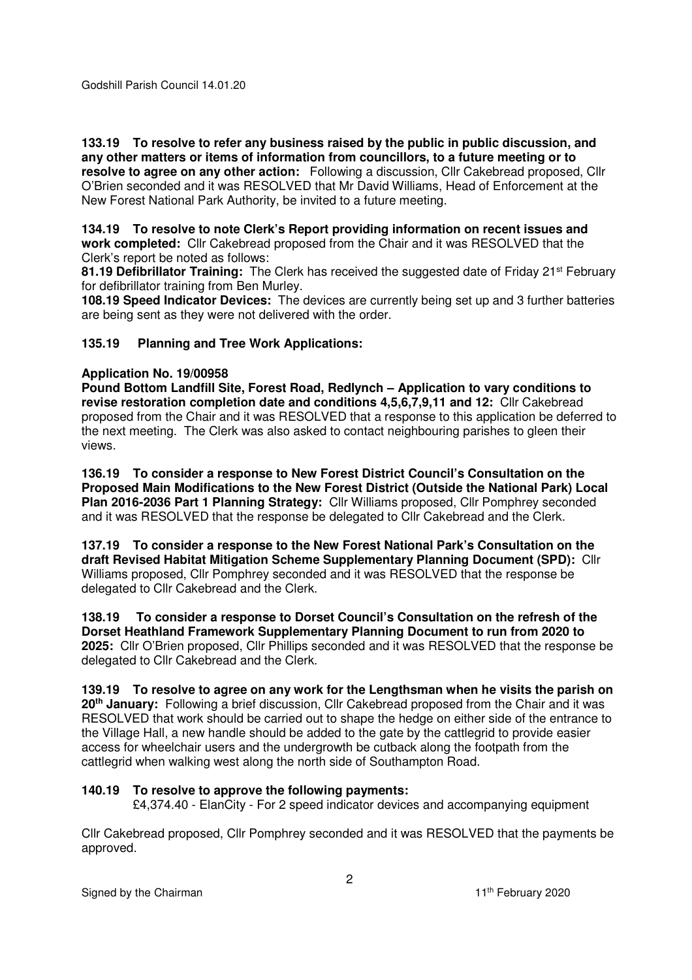Godshill Parish Council 14.01.20

**133.19 To resolve to refer any business raised by the public in public discussion, and any other matters or items of information from councillors, to a future meeting or to resolve to agree on any other action:** Following a discussion, Cllr Cakebread proposed, Cllr O'Brien seconded and it was RESOLVED that Mr David Williams, Head of Enforcement at the New Forest National Park Authority, be invited to a future meeting.

# **134.19 To resolve to note Clerk's Report providing information on recent issues and**

**work completed:** Cllr Cakebread proposed from the Chair and it was RESOLVED that the Clerk's report be noted as follows:

81.19 Defibrillator Training: The Clerk has received the suggested date of Friday 21<sup>st</sup> February for defibrillator training from Ben Murley.

**108.19 Speed Indicator Devices:** The devices are currently being set up and 3 further batteries are being sent as they were not delivered with the order.

## **135.19 Planning and Tree Work Applications:**

## **Application No. 19/00958**

**Pound Bottom Landfill Site, Forest Road, Redlynch – Application to vary conditions to revise restoration completion date and conditions 4,5,6,7,9,11 and 12:** Cllr Cakebread proposed from the Chair and it was RESOLVED that a response to this application be deferred to the next meeting. The Clerk was also asked to contact neighbouring parishes to gleen their views.

**136.19 To consider a response to New Forest District Council's Consultation on the Proposed Main Modifications to the New Forest District (Outside the National Park) Local Plan 2016-2036 Part 1 Planning Strategy:** Cllr Williams proposed, Cllr Pomphrey seconded and it was RESOLVED that the response be delegated to Cllr Cakebread and the Clerk.

**137.19 To consider a response to the New Forest National Park's Consultation on the draft Revised Habitat Mitigation Scheme Supplementary Planning Document (SPD):** Cllr Williams proposed, Cllr Pomphrey seconded and it was RESOLVED that the response be delegated to Cllr Cakebread and the Clerk.

**138.19 To consider a response to Dorset Council's Consultation on the refresh of the Dorset Heathland Framework Supplementary Planning Document to run from 2020 to 2025:** Cllr O'Brien proposed, Cllr Phillips seconded and it was RESOLVED that the response be delegated to Cllr Cakebread and the Clerk.

**139.19 To resolve to agree on any work for the Lengthsman when he visits the parish on 20th January:** Following a brief discussion, Cllr Cakebread proposed from the Chair and it was RESOLVED that work should be carried out to shape the hedge on either side of the entrance to the Village Hall, a new handle should be added to the gate by the cattlegrid to provide easier access for wheelchair users and the undergrowth be cutback along the footpath from the cattlegrid when walking west along the north side of Southampton Road.

## **140.19 To resolve to approve the following payments:**

£4,374.40 - ElanCity - For 2 speed indicator devices and accompanying equipment

Cllr Cakebread proposed, Cllr Pomphrey seconded and it was RESOLVED that the payments be approved.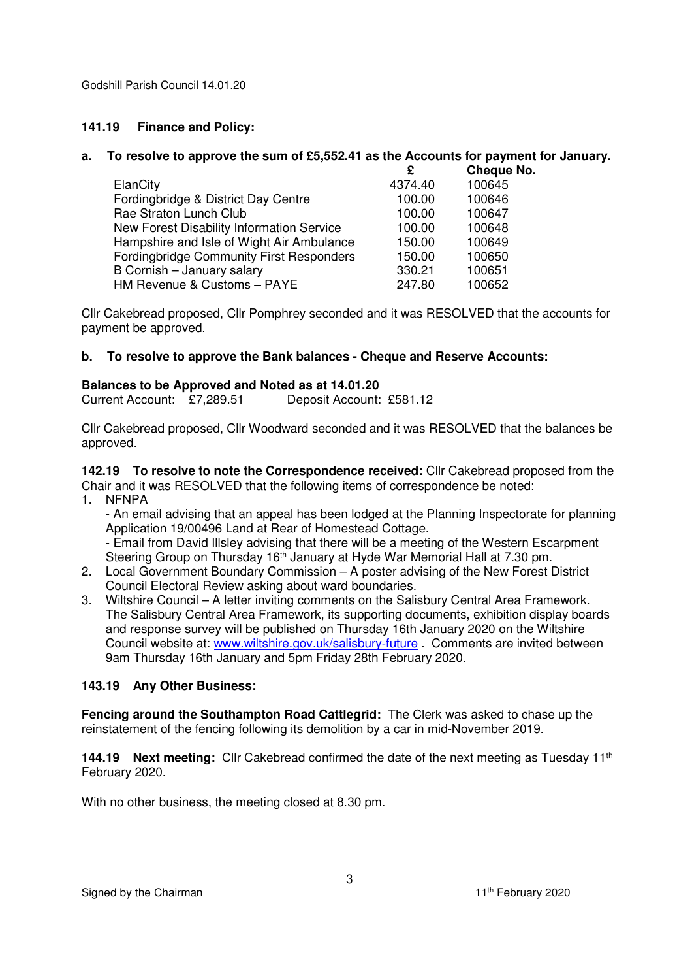Godshill Parish Council 14.01.20

## **141.19 Finance and Policy:**

#### **a. To resolve to approve the sum of £5,552.41 as the Accounts for payment for January.**

|                                                 | £       | Cheque No. |
|-------------------------------------------------|---------|------------|
| ElanCity                                        | 4374.40 | 100645     |
| Fordingbridge & District Day Centre             | 100.00  | 100646     |
| Rae Straton Lunch Club                          | 100.00  | 100647     |
| New Forest Disability Information Service       | 100.00  | 100648     |
| Hampshire and Isle of Wight Air Ambulance       | 150.00  | 100649     |
| <b>Fordingbridge Community First Responders</b> | 150.00  | 100650     |
| B Cornish - January salary                      | 330.21  | 100651     |
| HM Revenue & Customs - PAYE                     | 247.80  | 100652     |

Cllr Cakebread proposed, Cllr Pomphrey seconded and it was RESOLVED that the accounts for payment be approved.

## **b. To resolve to approve the Bank balances - Cheque and Reserve Accounts:**

#### **Balances to be Approved and Noted as at 14.01.20**

Current Account: £7,289.51 Deposit Account: £581.12

Cllr Cakebread proposed, Cllr Woodward seconded and it was RESOLVED that the balances be approved.

**142.19 To resolve to note the Correspondence received:** Cllr Cakebread proposed from the Chair and it was RESOLVED that the following items of correspondence be noted:

1. NFNPA

- An email advising that an appeal has been lodged at the Planning Inspectorate for planning Application 19/00496 Land at Rear of Homestead Cottage.

- Email from David Illsley advising that there will be a meeting of the Western Escarpment Steering Group on Thursday 16<sup>th</sup> January at Hyde War Memorial Hall at 7.30 pm.

- 2. Local Government Boundary Commission A poster advising of the New Forest District Council Electoral Review asking about ward boundaries.
- 3. Wiltshire Council A letter inviting comments on the Salisbury Central Area Framework. The Salisbury Central Area Framework, its supporting documents, exhibition display boards and response survey will be published on Thursday 16th January 2020 on the Wiltshire Council website at: www.wiltshire.gov.uk/salisbury-future . Comments are invited between 9am Thursday 16th January and 5pm Friday 28th February 2020.

## **143.19 Any Other Business:**

**Fencing around the Southampton Road Cattlegrid:** The Clerk was asked to chase up the reinstatement of the fencing following its demolition by a car in mid-November 2019.

144.19 **Next meeting:** Cllr Cakebread confirmed the date of the next meeting as Tuesday 11<sup>th</sup> February 2020.

With no other business, the meeting closed at 8.30 pm.